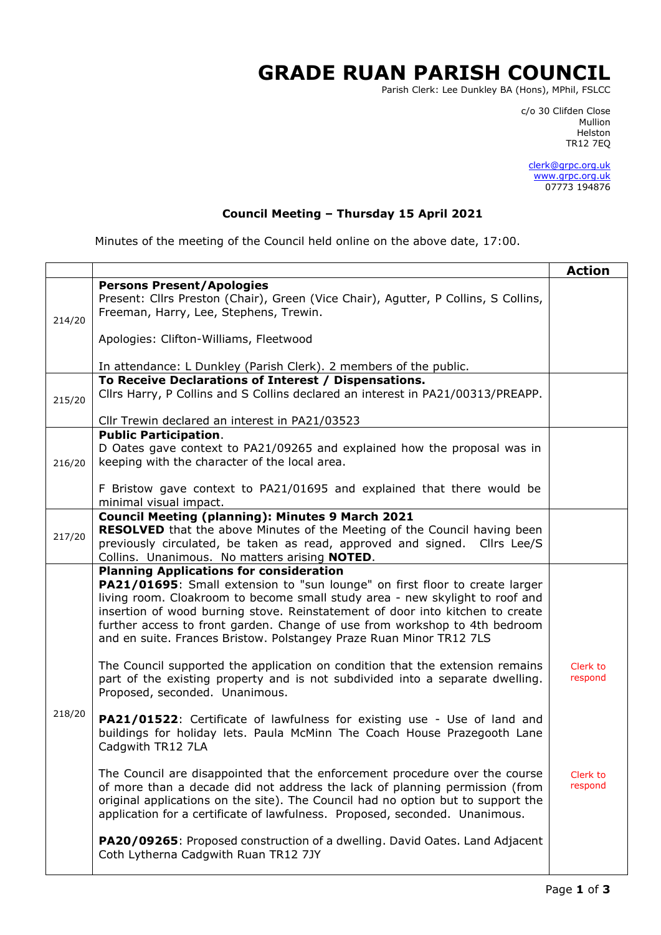## **GRADE RUAN PARISH COUNCIL**

Parish Clerk: Lee Dunkley BA (Hons), MPhil, FSLCC

c/o 30 Clifden Close man and the control of the control of the control of the control of the control of the control of the control o Helston TR12 7EQ

> [clerk@grpc.org.uk](mailto:clerk@grpc.org.uk) [www.grpc.org.uk](http://www.grpc.org.uk/) 07773 194876

## **Council Meeting – Thursday 15 April 2021**

Minutes of the meeting of the Council held online on the above date, 17:00.

|        |                                                                                                  | <b>Action</b> |
|--------|--------------------------------------------------------------------------------------------------|---------------|
|        | <b>Persons Present/Apologies</b>                                                                 |               |
|        | Present: Cllrs Preston (Chair), Green (Vice Chair), Agutter, P Collins, S Collins,               |               |
| 214/20 | Freeman, Harry, Lee, Stephens, Trewin.                                                           |               |
|        |                                                                                                  |               |
|        | Apologies: Clifton-Williams, Fleetwood                                                           |               |
|        |                                                                                                  |               |
|        | In attendance: L Dunkley (Parish Clerk). 2 members of the public.                                |               |
|        | To Receive Declarations of Interest / Dispensations.                                             |               |
| 215/20 | Cllrs Harry, P Collins and S Collins declared an interest in PA21/00313/PREAPP.                  |               |
|        |                                                                                                  |               |
|        | Cllr Trewin declared an interest in PA21/03523                                                   |               |
|        | <b>Public Participation.</b>                                                                     |               |
|        | D Oates gave context to PA21/09265 and explained how the proposal was in                         |               |
| 216/20 | keeping with the character of the local area.                                                    |               |
|        |                                                                                                  |               |
|        | F Bristow gave context to PA21/01695 and explained that there would be<br>minimal visual impact. |               |
|        | <b>Council Meeting (planning): Minutes 9 March 2021</b>                                          |               |
|        | <b>RESOLVED</b> that the above Minutes of the Meeting of the Council having been                 |               |
| 217/20 | previously circulated, be taken as read, approved and signed. Cllrs Lee/S                        |               |
|        | Collins. Unanimous. No matters arising NOTED.                                                    |               |
|        | <b>Planning Applications for consideration</b>                                                   |               |
|        | PA21/01695: Small extension to "sun lounge" on first floor to create larger                      |               |
|        | living room. Cloakroom to become small study area - new skylight to roof and                     |               |
|        | insertion of wood burning stove. Reinstatement of door into kitchen to create                    |               |
|        | further access to front garden. Change of use from workshop to 4th bedroom                       |               |
|        | and en suite. Frances Bristow. Polstangey Praze Ruan Minor TR12 7LS                              |               |
|        |                                                                                                  |               |
|        | The Council supported the application on condition that the extension remains                    | Clerk to      |
|        | part of the existing property and is not subdivided into a separate dwelling.                    | respond       |
|        | Proposed, seconded. Unanimous.                                                                   |               |
| 218/20 |                                                                                                  |               |
|        | PA21/01522: Certificate of lawfulness for existing use - Use of land and                         |               |
|        | buildings for holiday lets. Paula McMinn The Coach House Prazegooth Lane                         |               |
|        | Cadgwith TR12 7LA                                                                                |               |
|        |                                                                                                  |               |
|        | The Council are disappointed that the enforcement procedure over the course                      | Clerk to      |
|        | of more than a decade did not address the lack of planning permission (from                      | respond       |
|        | original applications on the site). The Council had no option but to support the                 |               |
|        | application for a certificate of lawfulness. Proposed, seconded. Unanimous.                      |               |
|        | PA20/09265: Proposed construction of a dwelling. David Oates. Land Adjacent                      |               |
|        | Coth Lytherna Cadgwith Ruan TR12 7JY                                                             |               |
|        |                                                                                                  |               |
|        |                                                                                                  |               |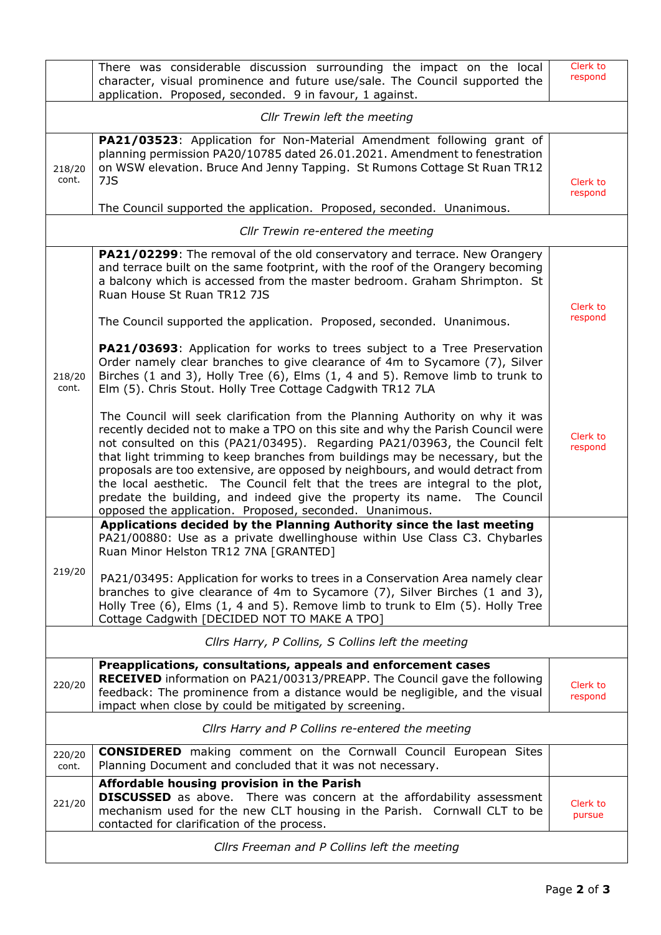|                                                  | There was considerable discussion surrounding the impact on the local<br>character, visual prominence and future use/sale. The Council supported the<br>application. Proposed, seconded. 9 in favour, 1 against.                                                                                                                                                                                                                                                                                                                                                                                                                           | Clerk to<br>respond |  |  |
|--------------------------------------------------|--------------------------------------------------------------------------------------------------------------------------------------------------------------------------------------------------------------------------------------------------------------------------------------------------------------------------------------------------------------------------------------------------------------------------------------------------------------------------------------------------------------------------------------------------------------------------------------------------------------------------------------------|---------------------|--|--|
| Cllr Trewin left the meeting                     |                                                                                                                                                                                                                                                                                                                                                                                                                                                                                                                                                                                                                                            |                     |  |  |
| 218/20<br>cont.                                  | PA21/03523: Application for Non-Material Amendment following grant of<br>planning permission PA20/10785 dated 26.01.2021. Amendment to fenestration<br>on WSW elevation. Bruce And Jenny Tapping. St Rumons Cottage St Ruan TR12<br>7JS                                                                                                                                                                                                                                                                                                                                                                                                    | Clerk to<br>respond |  |  |
|                                                  | The Council supported the application. Proposed, seconded. Unanimous.                                                                                                                                                                                                                                                                                                                                                                                                                                                                                                                                                                      |                     |  |  |
|                                                  | Cllr Trewin re-entered the meeting                                                                                                                                                                                                                                                                                                                                                                                                                                                                                                                                                                                                         |                     |  |  |
| 218/20<br>cont.                                  | PA21/02299: The removal of the old conservatory and terrace. New Orangery<br>and terrace built on the same footprint, with the roof of the Orangery becoming<br>a balcony which is accessed from the master bedroom. Graham Shrimpton. St<br>Ruan House St Ruan TR12 7JS<br>The Council supported the application. Proposed, seconded. Unanimous.                                                                                                                                                                                                                                                                                          | Clerk to<br>respond |  |  |
|                                                  | PA21/03693: Application for works to trees subject to a Tree Preservation<br>Order namely clear branches to give clearance of 4m to Sycamore (7), Silver<br>Birches (1 and 3), Holly Tree (6), Elms (1, 4 and 5). Remove limb to trunk to<br>Elm (5). Chris Stout. Holly Tree Cottage Cadgwith TR12 7LA                                                                                                                                                                                                                                                                                                                                    |                     |  |  |
|                                                  | The Council will seek clarification from the Planning Authority on why it was<br>recently decided not to make a TPO on this site and why the Parish Council were<br>not consulted on this (PA21/03495). Regarding PA21/03963, the Council felt<br>that light trimming to keep branches from buildings may be necessary, but the<br>proposals are too extensive, are opposed by neighbours, and would detract from<br>the local aesthetic. The Council felt that the trees are integral to the plot,<br>predate the building, and indeed give the property its name. The Council<br>opposed the application. Proposed, seconded. Unanimous. | Clerk to<br>respond |  |  |
| 219/20                                           | Applications decided by the Planning Authority since the last meeting<br>PA21/00880: Use as a private dwellinghouse within Use Class C3. Chybarles<br>Ruan Minor Helston TR12 7NA [GRANTED]                                                                                                                                                                                                                                                                                                                                                                                                                                                |                     |  |  |
|                                                  | PA21/03495: Application for works to trees in a Conservation Area namely clear<br>branches to give clearance of 4m to Sycamore (7), Silver Birches (1 and 3),<br>Holly Tree (6), Elms (1, 4 and 5). Remove limb to trunk to Elm (5). Holly Tree<br>Cottage Cadgwith [DECIDED NOT TO MAKE A TPO]                                                                                                                                                                                                                                                                                                                                            |                     |  |  |
|                                                  | Cllrs Harry, P Collins, S Collins left the meeting                                                                                                                                                                                                                                                                                                                                                                                                                                                                                                                                                                                         |                     |  |  |
| 220/20                                           | Preapplications, consultations, appeals and enforcement cases<br>RECEIVED information on PA21/00313/PREAPP. The Council gave the following<br>feedback: The prominence from a distance would be negligible, and the visual<br>impact when close by could be mitigated by screening.                                                                                                                                                                                                                                                                                                                                                        | Clerk to<br>respond |  |  |
| Cllrs Harry and P Collins re-entered the meeting |                                                                                                                                                                                                                                                                                                                                                                                                                                                                                                                                                                                                                                            |                     |  |  |
| 220/20<br>cont.                                  | <b>CONSIDERED</b> making comment on the Cornwall Council European Sites<br>Planning Document and concluded that it was not necessary.                                                                                                                                                                                                                                                                                                                                                                                                                                                                                                      |                     |  |  |
| 221/20                                           | Affordable housing provision in the Parish<br><b>DISCUSSED</b> as above. There was concern at the affordability assessment<br>mechanism used for the new CLT housing in the Parish. Cornwall CLT to be<br>contacted for clarification of the process.                                                                                                                                                                                                                                                                                                                                                                                      | Clerk to<br>pursue  |  |  |
| Cllrs Freeman and P Collins left the meeting     |                                                                                                                                                                                                                                                                                                                                                                                                                                                                                                                                                                                                                                            |                     |  |  |